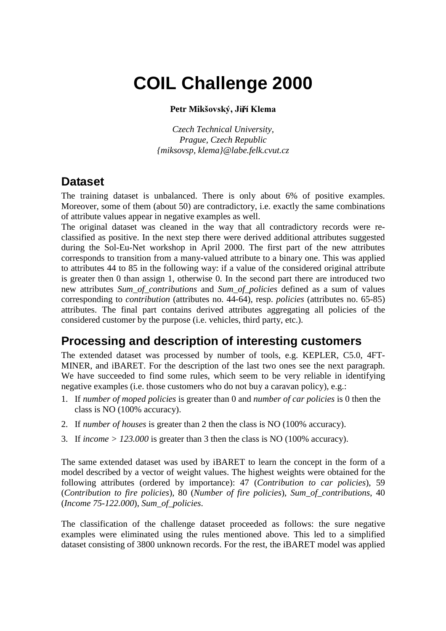# **COIL Challenge 2000**

#### Petr Mikšovský, Jiří Klema

*Czech Technical University, Prague, Czech Republic {miksovsp, klema}@labe.felk.cvut.cz*

#### **Dataset**

The training dataset is unbalanced. There is only about 6% of positive examples. Moreover, some of them (about 50) are contradictory, i.e. exactly the same combinations of attribute values appear in negative examples as well.

The original dataset was cleaned in the way that all contradictory records were reclassified as positive. In the next step there were derived additional attributes suggested during the Sol-Eu-Net workshop in April 2000. The first part of the new attributes corresponds to transition from a many-valued attribute to a binary one. This was applied to attributes 44 to 85 in the following way: if a value of the considered original attribute is greater then 0 than assign 1, otherwise 0. In the second part there are introduced two new attributes *Sum\_of\_contributions* and *Sum\_of\_policies* defined as a sum of values corresponding to *contribution* (attributes no. 44-64), resp. *policies* (attributes no. 65-85) attributes. The final part contains derived attributes aggregating all policies of the considered customer by the purpose (i.e. vehicles, third party, etc.).

## **Processing and description of interesting customers**

The extended dataset was processed by number of tools, e.g. KEPLER, C5.0, 4FT-MINER, and iBARET. For the description of the last two ones see the next paragraph. We have succeeded to find some rules, which seem to be very reliable in identifying negative examples (i.e. those customers who do not buy a caravan policy), e.g.:

- 1. If *number of moped policies* is greater than 0 and *number of car policies* is 0 then the class is NO (100% accuracy).
- 2. If *number of houses* is greater than 2 then the class is NO (100% accuracy).
- 3. If *income > 123.000* is greater than 3 then the class is NO (100% accuracy).

The same extended dataset was used by iBARET to learn the concept in the form of a model described by a vector of weight values. The highest weights were obtained for the following attributes (ordered by importance): 47 (*Contribution to car policies*), 59 (*Contribution to fire policies*), 80 (*Number of fire policies*), *Sum\_of\_contributions*, 40 (*Income 75-122.000*), *Sum\_of\_policies*.

The classification of the challenge dataset proceeded as follows: the sure negative examples were eliminated using the rules mentioned above. This led to a simplified dataset consisting of 3800 unknown records. For the rest, the iBARET model was applied